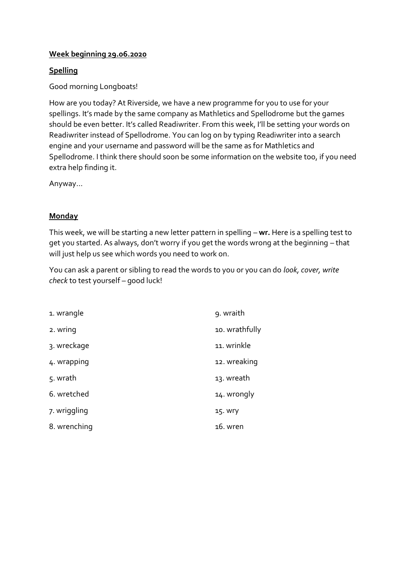### **Week beginning 29.06.2020**

## **Spelling**

Good morning Longboats!

How are you today? At Riverside, we have a new programme for you to use for your spellings. It's made by the same company as Mathletics and Spellodrome but the games should be even better. It's called Readiwriter. From this week, I'll be setting your words on Readiwriter instead of Spellodrome. You can log on by typing Readiwriter into a search engine and your username and password will be the same as for Mathletics and Spellodrome. I think there should soon be some information on the website too, if you need extra help finding it.

Anyway…

### **Monday**

This week, we will be starting a new letter pattern in spelling – **wr.** Here is a spelling test to get you started. As always, don't worry if you get the words wrong at the beginning – that will just help us see which words you need to work on.

You can ask a parent or sibling to read the words to you or you can do *look, cover, write check* to test yourself – good luck!

| 1. wrangle   | 9. wraith      |
|--------------|----------------|
| 2. wring     | 10. wrathfully |
| 3. wreckage  | 11. wrinkle    |
| 4. wrapping  | 12. wreaking   |
| 5. wrath     | 13. wreath     |
| 6. wretched  | 14. wrongly    |
| 7. wriggling | 15. Wry        |
| 8. wrenching | 16. wren       |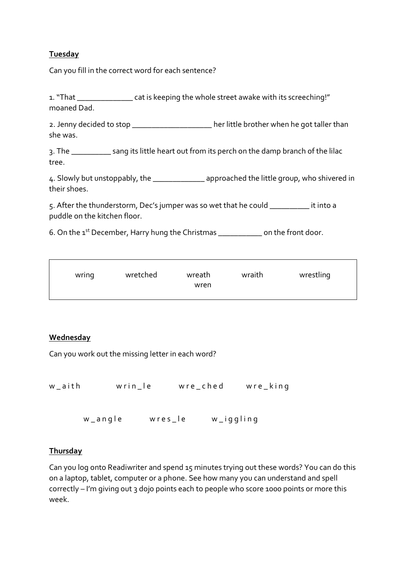### **Tuesday**

Can you fill in the correct word for each sentence?

1. "That \_\_\_\_\_\_\_\_\_\_\_\_\_\_ cat is keeping the whole street awake with its screeching!" moaned Dad.

2. Jenny decided to stop \_\_\_\_\_\_\_\_\_\_\_\_\_\_\_\_\_\_\_\_\_ her little brother when he got taller than she was.

3. The \_\_\_\_\_\_\_\_\_\_ sang its little heart out from its perch on the damp branch of the lilac tree.

4. Slowly but unstoppably, the approached the little group, who shivered in their shoes.

5. After the thunderstorm, Dec's jumper was so wet that he could \_\_\_\_\_\_\_\_\_\_ it into a puddle on the kitchen floor.

6. On the  $1^{st}$  December, Harry hung the Christmas  $\qquad \qquad$  on the front door.

|       |          |                | wrestling |
|-------|----------|----------------|-----------|
|       |          |                |           |
|       |          |                |           |
|       |          |                |           |
| wring | wretched | wreath<br>wren | wraith    |

### **Wednesday**

Can you work out the missing letter in each word?

```
w_aith wrin_le wre_ched wre_king
```
w\_angle wres\_le w\_iggling

#### **Thursday**

Can you log onto Readiwriter and spend 15 minutes trying out these words? You can do this on a laptop, tablet, computer or a phone. See how many you can understand and spell correctly – I'm giving out 3 dojo points each to people who score 1000 points or more this week.